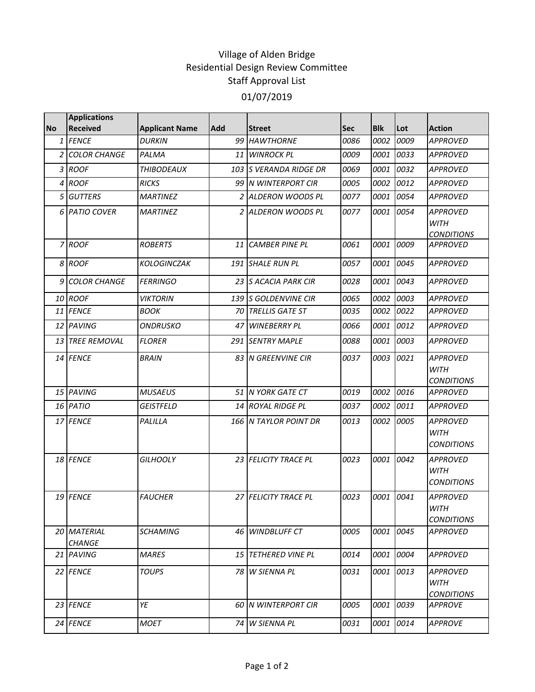## Village of Alden Bridge Residential Design Review Committee Staff Approval List 01/07/2019

|           | <b>Applications</b>          |                       |            |                            |            |            |      |                                                     |
|-----------|------------------------------|-----------------------|------------|----------------------------|------------|------------|------|-----------------------------------------------------|
| <b>No</b> | <b>Received</b>              | <b>Applicant Name</b> | <b>Add</b> | <b>Street</b>              | <b>Sec</b> | <b>Blk</b> | Lot  | <b>Action</b>                                       |
| 1         | <b>FENCE</b>                 | <b>DURKIN</b>         | 99         | <b>HAWTHORNE</b>           | 0086       | 0002       | 0009 | <b>APPROVED</b>                                     |
| 2         | <b>COLOR CHANGE</b>          | PALMA                 |            | 11 WINROCK PL              | 0009       | 0001       | 0033 | <b>APPROVED</b>                                     |
|           | 3 ROOF                       | <b>THIBODEAUX</b>     | 103        | <b>S VERANDA RIDGE DR</b>  | 0069       | 0001       | 0032 | <b>APPROVED</b>                                     |
| 4         | <b>ROOF</b>                  | <b>RICKS</b>          |            | 99 N WINTERPORT CIR        | 0005       | 0002       | 0012 | <b>APPROVED</b>                                     |
|           | 5 GUTTERS                    | <b>MARTINEZ</b>       |            | 2 ALDERON WOODS PL         | 0077       | 0001       | 0054 | <b>APPROVED</b>                                     |
|           | 6 PATIO COVER                | <b>MARTINEZ</b>       |            | 2 ALDERON WOODS PL         | 0077       | 0001       | 0054 | <b>APPROVED</b><br><b>WITH</b><br><b>CONDITIONS</b> |
|           | 7 ROOF                       | <b>ROBERTS</b>        | 11         | <b>CAMBER PINE PL</b>      | 0061       | 0001       | 0009 | <b>APPROVED</b>                                     |
|           | 8 ROOF                       | <b>KOLOGINCZAK</b>    |            | 191 SHALE RUN PL           | 0057       | 0001       | 0045 | <b>APPROVED</b>                                     |
| 9         | <b>COLOR CHANGE</b>          | <b>FERRINGO</b>       | 23         | <b>S ACACIA PARK CIR</b>   | 0028       | 0001       | 0043 | <b>APPROVED</b>                                     |
|           | 10 ROOF                      | <b>VIKTORIN</b>       |            | 139 S GOLDENVINE CIR       | 0065       | 0002       | 0003 | <b>APPROVED</b>                                     |
|           | 11 FENCE                     | <b>BOOK</b>           |            | 70 TRELLIS GATE ST         | 0035       | 0002       | 0022 | <b>APPROVED</b>                                     |
|           | 12 PAVING                    | ONDRUSKO              | 47         | <b>WINEBERRY PL</b>        | 0066       | 0001       | 0012 | <b>APPROVED</b>                                     |
|           | 13 TREE REMOVAL              | <b>FLORER</b>         | 291        | <b>SENTRY MAPLE</b>        | 0088       | 0001       | 0003 | <b>APPROVED</b>                                     |
|           | 14 FENCE                     | <b>BRAIN</b>          |            | 83 N GREENVINE CIR         | 0037       | 0003       | 0021 | <b>APPROVED</b><br><b>WITH</b><br><b>CONDITIONS</b> |
|           | 15 PAVING                    | <b>MUSAEUS</b>        |            | 51 N YORK GATE CT          | 0019       | 0002       | 0016 | <b>APPROVED</b>                                     |
|           | 16 PATIO                     | GEISTFELD             |            | 14 ROYAL RIDGE PL          | 0037       | 0002       | 0011 | <b>APPROVED</b>                                     |
|           | 17 FENCE                     | PALILLA               |            | 166 N TAYLOR POINT DR      | 0013       | 0002       | 0005 | <b>APPROVED</b><br><b>WITH</b><br><b>CONDITIONS</b> |
|           | 18 FENCE                     | <b>GILHOOLY</b>       |            | 23 FELICITY TRACE PL       | 0023       | 0001       | 0042 | <b>APPROVED</b><br><b>WITH</b><br><b>CONDITIONS</b> |
|           | 19 FENCE                     | <b>FAUCHER</b>        |            | 27 FELICITY TRACE PL       | 0023       | 0001       | 0041 | APPROVED<br><b>WITH</b><br><b>CONDITIONS</b>        |
|           | 20 MATERIAL<br><b>CHANGE</b> | <b>SCHAMING</b>       |            | 46 WINDBLUFF CT            | 0005       | 0001       | 0045 | <b>APPROVED</b>                                     |
|           | 21 IPAVING                   | <b>MARES</b>          |            | <b>15 TETHERED VINE PL</b> | 0014       | 0001       | 0004 | APPROVED                                            |
|           | 22 FENCE                     | <b>TOUPS</b>          |            | 78 W SIENNA PL             | 0031       | 0001       | 0013 | APPROVED<br><b>WITH</b><br><b>CONDITIONS</b>        |
|           | 23 FENCE                     | YE                    |            | 60 IN WINTERPORT CIR       | 0005       | 0001       | 0039 | <b>APPROVE</b>                                      |
|           | 24 FENCE                     | <b>MOET</b>           | 74 I       | W SIENNA PL                | 0031       | 0001       | 0014 | <b>APPROVE</b>                                      |